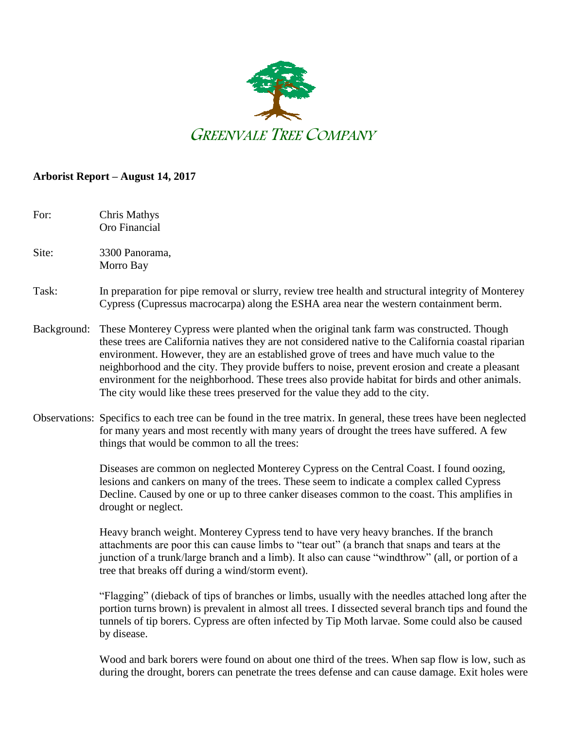

## **Arborist Report – August 14, 2017**

For: Chris Mathys Oro Financial

Site: 3300 Panorama. Morro Bay

## Task: In preparation for pipe removal or slurry, review tree health and structural integrity of Monterey Cypress (Cupressus macrocarpa) along the ESHA area near the western containment berm.

- Background: These Monterey Cypress were planted when the original tank farm was constructed. Though these trees are California natives they are not considered native to the California coastal riparian environment. However, they are an established grove of trees and have much value to the neighborhood and the city. They provide buffers to noise, prevent erosion and create a pleasant environment for the neighborhood. These trees also provide habitat for birds and other animals. The city would like these trees preserved for the value they add to the city.
- Observations: Specifics to each tree can be found in the tree matrix. In general, these trees have been neglected for many years and most recently with many years of drought the trees have suffered. A few things that would be common to all the trees:

Diseases are common on neglected Monterey Cypress on the Central Coast. I found oozing, lesions and cankers on many of the trees. These seem to indicate a complex called Cypress Decline. Caused by one or up to three canker diseases common to the coast. This amplifies in drought or neglect.

Heavy branch weight. Monterey Cypress tend to have very heavy branches. If the branch attachments are poor this can cause limbs to "tear out" (a branch that snaps and tears at the junction of a trunk/large branch and a limb). It also can cause "windthrow" (all, or portion of a tree that breaks off during a wind/storm event).

"Flagging" (dieback of tips of branches or limbs, usually with the needles attached long after the portion turns brown) is prevalent in almost all trees. I dissected several branch tips and found the tunnels of tip borers. Cypress are often infected by Tip Moth larvae. Some could also be caused by disease.

Wood and bark borers were found on about one third of the trees. When sap flow is low, such as during the drought, borers can penetrate the trees defense and can cause damage. Exit holes were